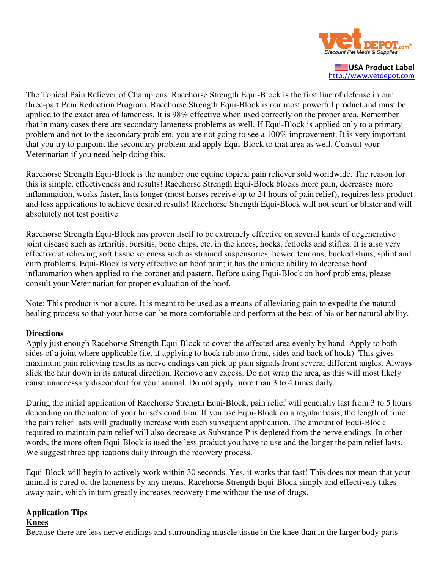

USA Product Label http://www.vetdepot.com

The Topical Pain Reliever of Champions. Racehorse Strength Equi-Block is the first line of defense in our three-part Pain Reduction Program. Racehorse Strength Equi-Block is our most powerful product and must be applied to the exact area of lameness. It is 98% effective when used correctly on the proper area. Remember that in many cases there are secondary lameness problems as well. If Equi-Block is applied only to a primary problem and not to the secondary problem, you are not going to see a 100% improvement. It is very important that you try to pinpoint the secondary problem and apply Equi-Block to that area as well. Consult your Veterinarian if you need help doing this.

Racehorse Strength Equi-Block is the number one equine topical pain reliever sold worldwide. The reason for this is simple, effectiveness and results! Racehorse Strength Equi-Block blocks more pain, decreases more inflammation, works faster, lasts longer (most horses receive up to 24 hours of pain relief), requires less product and less applications to achieve desired results! Racehorse Strength Equi-Block will not scurf or blister and will absolutely not test positive.

Racehorse Strength Equi-Block has proven itself to be extremely effective on several kinds of degenerative joint disease such as arthritis, bursitis, bone chips, etc. in the knees, hocks, fetlocks and stifles. It is also very effective at relieving soft tissue soreness such as strained suspensories, bowed tendons, bucked shins, splint and curb problems. Equi-Block is very effective on hoof pain; it has the unique ability to decrease hoof inflammation when applied to the coronet and pastern. Before using Equi-Block on hoof problems, please consult your Veterinarian for proper evaluation of the hoof.

Note: This product is not a cure. It is meant to be used as a means of alleviating pain to expedite the natural healing process so that your horse can be more comfortable and perform at the best of his or her natural ability.

#### **Directions**

Apply just enough Racehorse Strength Equi-Block to cover the affected area evenly by hand. Apply to both sides of a joint where applicable (i.e. if applying to hock rub into front, sides and back of hock). This gives maximum pain relieving results as nerve endings can pick up pain signals from several different angles. Always slick the hair down in its natural direction. Remove any excess. Do not wrap the area, as this will most likely cause unnecessary discomfort for your animal. Do not apply more than 3 to 4 times daily.

During the initial application of Racehorse Strength Equi-Block, pain relief will generally last from 3 to 5 hours depending on the nature of your horse's condition. If you use Equi-Block on a regular basis, the length of time the pain relief lasts will gradually increase with each subsequent application. The amount of Equi-Block required to maintain pain relief will also decrease as Substance P is depleted from the nerve endings. In other words, the more often Equi-Block is used the less product you have to use and the longer the pain relief lasts. We suggest three applications daily through the recovery process.

Equi-Block will begin to actively work within 30 seconds. Yes, it works that fast! This does not mean that your animal is cured of the lameness by any means. Racehorse Strength Equi-Block simply and effectively takes away pain, which in turn greatly increases recovery time without the use of drugs.

## **Application Tips**

#### **Knees**

Because there are less nerve endings and surrounding muscle tissue in the knee than in the larger body parts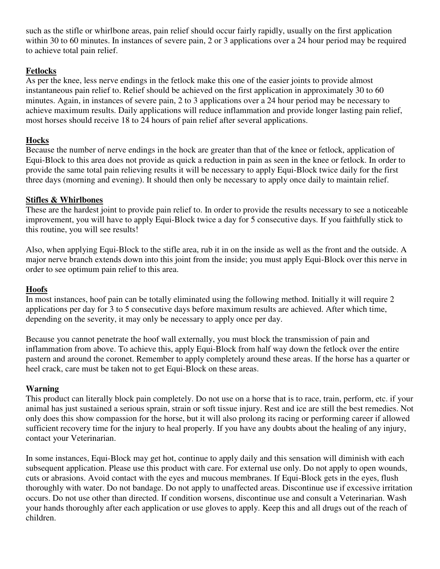such as the stifle or whirlbone areas, pain relief should occur fairly rapidly, usually on the first application within 30 to 60 minutes. In instances of severe pain, 2 or 3 applications over a 24 hour period may be required to achieve total pain relief.

# **Fetlocks**

As per the knee, less nerve endings in the fetlock make this one of the easier joints to provide almost instantaneous pain relief to. Relief should be achieved on the first application in approximately 30 to 60 minutes. Again, in instances of severe pain, 2 to 3 applications over a 24 hour period may be necessary to achieve maximum results. Daily applications will reduce inflammation and provide longer lasting pain relief, most horses should receive 18 to 24 hours of pain relief after several applications.

## **Hocks**

Because the number of nerve endings in the hock are greater than that of the knee or fetlock, application of Equi-Block to this area does not provide as quick a reduction in pain as seen in the knee or fetlock. In order to provide the same total pain relieving results it will be necessary to apply Equi-Block twice daily for the first three days (morning and evening). It should then only be necessary to apply once daily to maintain relief.

## **Stifles & Whirlbones**

These are the hardest joint to provide pain relief to. In order to provide the results necessary to see a noticeable improvement, you will have to apply Equi-Block twice a day for 5 consecutive days. If you faithfully stick to this routine, you will see results!

Also, when applying Equi-Block to the stifle area, rub it in on the inside as well as the front and the outside. A major nerve branch extends down into this joint from the inside; you must apply Equi-Block over this nerve in order to see optimum pain relief to this area.

## **Hoofs**

In most instances, hoof pain can be totally eliminated using the following method. Initially it will require 2 applications per day for 3 to 5 consecutive days before maximum results are achieved. After which time, depending on the severity, it may only be necessary to apply once per day.

Because you cannot penetrate the hoof wall externally, you must block the transmission of pain and inflammation from above. To achieve this, apply Equi-Block from half way down the fetlock over the entire pastern and around the coronet. Remember to apply completely around these areas. If the horse has a quarter or heel crack, care must be taken not to get Equi-Block on these areas.

#### **Warning**

This product can literally block pain completely. Do not use on a horse that is to race, train, perform, etc. if your animal has just sustained a serious sprain, strain or soft tissue injury. Rest and ice are still the best remedies. Not only does this show compassion for the horse, but it will also prolong its racing or performing career if allowed sufficient recovery time for the injury to heal properly. If you have any doubts about the healing of any injury, contact your Veterinarian.

In some instances, Equi-Block may get hot, continue to apply daily and this sensation will diminish with each subsequent application. Please use this product with care. For external use only. Do not apply to open wounds, cuts or abrasions. Avoid contact with the eyes and mucous membranes. If Equi-Block gets in the eyes, flush thoroughly with water. Do not bandage. Do not apply to unaffected areas. Discontinue use if excessive irritation occurs. Do not use other than directed. If condition worsens, discontinue use and consult a Veterinarian. Wash your hands thoroughly after each application or use gloves to apply. Keep this and all drugs out of the reach of children.